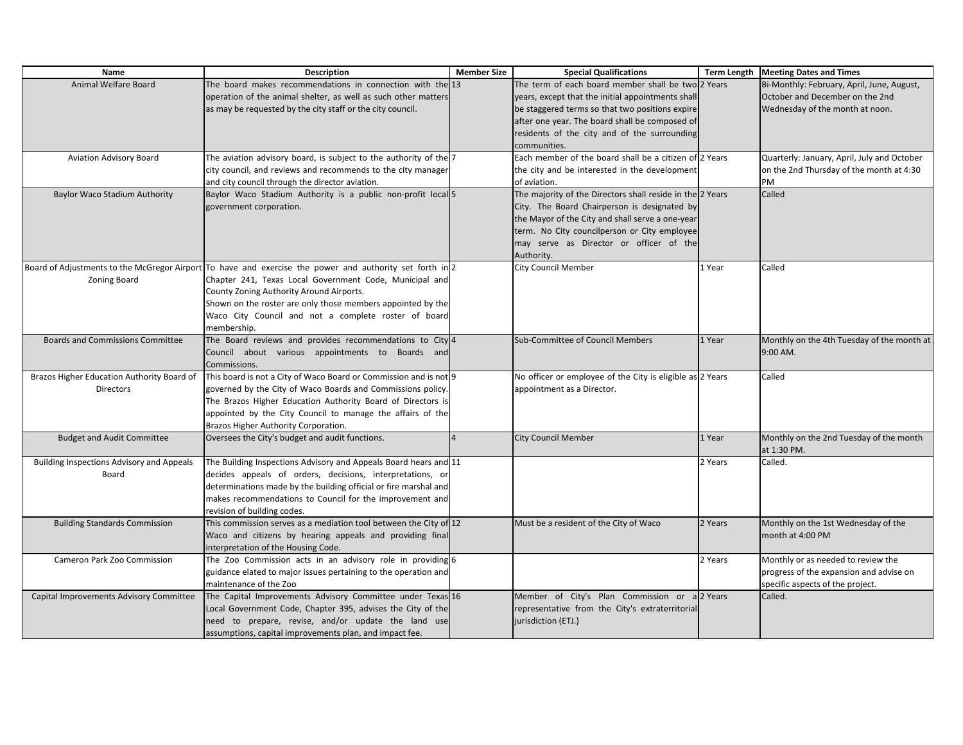| Name                                             | <b>Description</b>                                                                                       | <b>Member Size</b> | <b>Special Qualifications</b>                             |         | Term Length   Meeting Dates and Times       |
|--------------------------------------------------|----------------------------------------------------------------------------------------------------------|--------------------|-----------------------------------------------------------|---------|---------------------------------------------|
| Animal Welfare Board                             | The board makes recommendations in connection with the 13                                                |                    | The term of each board member shall be two                | 2 Years | Bi-Monthly: February, April, June, August,  |
|                                                  | operation of the animal shelter, as well as such other matters                                           |                    | years, except that the initial appointments shal          |         | October and December on the 2nd             |
|                                                  | as may be requested by the city staff or the city council.                                               |                    | be staggered terms so that two positions expire           |         | Wednesday of the month at noon.             |
|                                                  |                                                                                                          |                    | after one year. The board shall be composed of            |         |                                             |
|                                                  |                                                                                                          |                    | residents of the city and of the surrounding              |         |                                             |
|                                                  |                                                                                                          |                    | communities.                                              |         |                                             |
| Aviation Advisory Board                          | The aviation advisory board, is subject to the authority of the 7                                        |                    | Each member of the board shall be a citizen of 2 Years    |         | Quarterly: January, April, July and October |
|                                                  | city council, and reviews and recommends to the city manager                                             |                    | the city and be interested in the development             |         | on the 2nd Thursday of the month at 4:30    |
|                                                  | and city council through the director aviation.                                                          |                    | of aviation.                                              |         | PM                                          |
| Baylor Waco Stadium Authority                    | Baylor Waco Stadium Authority is a public non-profit local 5                                             |                    | The majority of the Directors shall reside in the 2 Years |         | Called                                      |
|                                                  | government corporation.                                                                                  |                    | City. The Board Chairperson is designated by              |         |                                             |
|                                                  |                                                                                                          |                    | the Mayor of the City and shall serve a one-year          |         |                                             |
|                                                  |                                                                                                          |                    | term. No City councilperson or City employee              |         |                                             |
|                                                  |                                                                                                          |                    | may serve as Director or officer of the                   |         |                                             |
|                                                  |                                                                                                          |                    | Authority.                                                |         |                                             |
|                                                  | Board of Adjustments to the McGregor Airport To have and exercise the power and authority set forth in 2 |                    | City Council Member                                       | 1 Year  | Called                                      |
| Zoning Board                                     | Chapter 241, Texas Local Government Code, Municipal and                                                  |                    |                                                           |         |                                             |
|                                                  | County Zoning Authority Around Airports.                                                                 |                    |                                                           |         |                                             |
|                                                  | Shown on the roster are only those members appointed by the                                              |                    |                                                           |         |                                             |
|                                                  | Waco City Council and not a complete roster of board                                                     |                    |                                                           |         |                                             |
|                                                  | membership.                                                                                              |                    |                                                           |         |                                             |
| <b>Boards and Commissions Committee</b>          | The Board reviews and provides recommendations to City 4                                                 |                    | Sub-Committee of Council Members                          | 1 Year  | Monthly on the 4th Tuesday of the month at  |
|                                                  | Council about various appointments to Boards and                                                         |                    |                                                           |         | 9:00 AM.                                    |
|                                                  | Commissions.                                                                                             |                    |                                                           |         |                                             |
| Brazos Higher Education Authority Board of       | This board is not a City of Waco Board or Commission and is not 9                                        |                    | No officer or employee of the City is eligible as 2 Years |         | Called                                      |
| Directors                                        | governed by the City of Waco Boards and Commissions policy.                                              |                    | appointment as a Director.                                |         |                                             |
|                                                  | The Brazos Higher Education Authority Board of Directors is                                              |                    |                                                           |         |                                             |
|                                                  | appointed by the City Council to manage the affairs of the                                               |                    |                                                           |         |                                             |
|                                                  | Brazos Higher Authority Corporation.                                                                     |                    |                                                           |         |                                             |
| <b>Budget and Audit Committee</b>                | Oversees the City's budget and audit functions.                                                          |                    | <b>City Council Member</b>                                | 1 Year  | Monthly on the 2nd Tuesday of the month     |
|                                                  |                                                                                                          |                    |                                                           |         | at 1:30 PM.                                 |
| <b>Building Inspections Advisory and Appeals</b> | The Building Inspections Advisory and Appeals Board hears and 11                                         |                    |                                                           | 2 Years | Called.                                     |
| Board                                            | decides appeals of orders, decisions, interpretations, or                                                |                    |                                                           |         |                                             |
|                                                  | determinations made by the building official or fire marshal and                                         |                    |                                                           |         |                                             |
|                                                  | makes recommendations to Council for the improvement and                                                 |                    |                                                           |         |                                             |
|                                                  | revision of building codes.                                                                              |                    |                                                           |         |                                             |
| <b>Building Standards Commission</b>             | This commission serves as a mediation tool between the City of 12                                        |                    | Must be a resident of the City of Waco                    | 2 Years | Monthly on the 1st Wednesday of the         |
|                                                  | Waco and citizens by hearing appeals and providing final                                                 |                    |                                                           |         | month at 4:00 PM                            |
|                                                  | interpretation of the Housing Code.                                                                      |                    |                                                           |         |                                             |
| Cameron Park Zoo Commission                      | The Zoo Commission acts in an advisory role in providing 6                                               |                    |                                                           | 2 Years | Monthly or as needed to review the          |
|                                                  | guidance elated to major issues pertaining to the operation and                                          |                    |                                                           |         | progress of the expansion and advise on     |
|                                                  | maintenance of the Zoo                                                                                   |                    |                                                           |         | specific aspects of the project.            |
| Capital Improvements Advisory Committee          | The Capital Improvements Advisory Committee under Texas 16                                               |                    | Member of City's Plan Commission or a 2 Years             |         | Called.                                     |
|                                                  | Local Government Code, Chapter 395, advises the City of the                                              |                    | representative from the City's extraterritorial           |         |                                             |
|                                                  | need to prepare, revise, and/or update the land use                                                      |                    | jurisdiction (ETJ.)                                       |         |                                             |
|                                                  | assumptions, capital improvements plan, and impact fee.                                                  |                    |                                                           |         |                                             |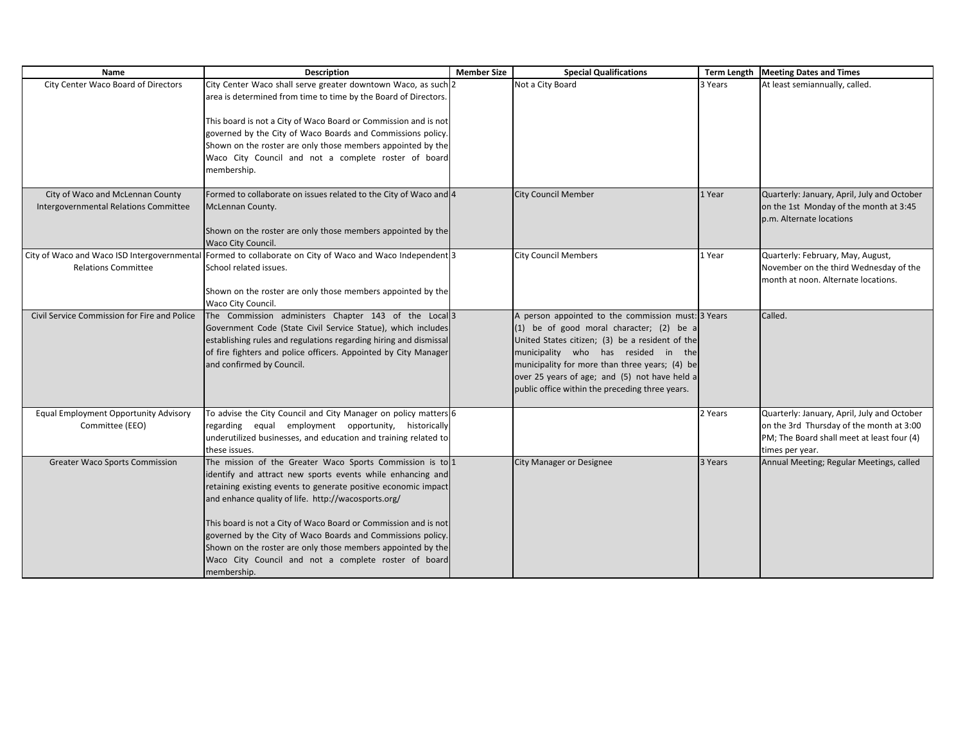| <b>Name</b>                                  | <b>Description</b>                                                                                                      | <b>Member Size</b> | <b>Special Qualifications</b>                      |         | Term Length   Meeting Dates and Times                                                  |
|----------------------------------------------|-------------------------------------------------------------------------------------------------------------------------|--------------------|----------------------------------------------------|---------|----------------------------------------------------------------------------------------|
| City Center Waco Board of Directors          | City Center Waco shall serve greater downtown Waco, as such 2                                                           |                    | Not a City Board                                   | 3 Years | At least semiannually, called.                                                         |
|                                              | area is determined from time to time by the Board of Directors.                                                         |                    |                                                    |         |                                                                                        |
|                                              |                                                                                                                         |                    |                                                    |         |                                                                                        |
|                                              | This board is not a City of Waco Board or Commission and is not                                                         |                    |                                                    |         |                                                                                        |
|                                              | governed by the City of Waco Boards and Commissions policy.                                                             |                    |                                                    |         |                                                                                        |
|                                              | Shown on the roster are only those members appointed by the                                                             |                    |                                                    |         |                                                                                        |
|                                              | Waco City Council and not a complete roster of board                                                                    |                    |                                                    |         |                                                                                        |
|                                              | membership.                                                                                                             |                    |                                                    |         |                                                                                        |
| City of Waco and McLennan County             | Formed to collaborate on issues related to the City of Waco and 4                                                       |                    | <b>City Council Member</b>                         | 1 Year  | Quarterly: January, April, July and October                                            |
| <b>Intergovernmental Relations Committee</b> | McLennan County.                                                                                                        |                    |                                                    |         | on the 1st Monday of the month at 3:45                                                 |
|                                              |                                                                                                                         |                    |                                                    |         | p.m. Alternate locations                                                               |
|                                              | Shown on the roster are only those members appointed by the                                                             |                    |                                                    |         |                                                                                        |
|                                              | <b>Waco City Council.</b>                                                                                               |                    |                                                    |         |                                                                                        |
|                                              | City of Waco and Waco ISD Intergovernmental Formed to collaborate on City of Waco and Waco Independent 3                |                    | <b>City Council Members</b>                        | 1 Year  | Quarterly: February, May, August,                                                      |
| <b>Relations Committee</b>                   | School related issues.                                                                                                  |                    |                                                    |         | November on the third Wednesday of the                                                 |
|                                              |                                                                                                                         |                    |                                                    |         | month at noon. Alternate locations.                                                    |
|                                              | Shown on the roster are only those members appointed by the                                                             |                    |                                                    |         |                                                                                        |
|                                              | Waco City Council.                                                                                                      |                    |                                                    |         |                                                                                        |
| Civil Service Commission for Fire and Police | The Commission administers Chapter 143 of the Local 3                                                                   |                    | A person appointed to the commission must: 3 Years |         | Called.                                                                                |
|                                              | Government Code (State Civil Service Statue), which includes                                                            |                    | (1) be of good moral character; (2) be a           |         |                                                                                        |
|                                              | establishing rules and regulations regarding hiring and dismissal                                                       |                    | United States citizen; (3) be a resident of the    |         |                                                                                        |
|                                              | of fire fighters and police officers. Appointed by City Manager                                                         |                    | municipality who has resided in the                |         |                                                                                        |
|                                              | and confirmed by Council.                                                                                               |                    | municipality for more than three years; (4) be     |         |                                                                                        |
|                                              |                                                                                                                         |                    | over 25 years of age; and (5) not have held a      |         |                                                                                        |
|                                              |                                                                                                                         |                    | public office within the preceding three years.    |         |                                                                                        |
|                                              |                                                                                                                         |                    |                                                    |         |                                                                                        |
| Equal Employment Opportunity Advisory        | To advise the City Council and City Manager on policy matters 6                                                         |                    |                                                    | 2 Years | Quarterly: January, April, July and October                                            |
| Committee (EEO)                              | regarding equal employment opportunity, historically<br>underutilized businesses, and education and training related to |                    |                                                    |         | on the 3rd Thursday of the month at 3:00<br>PM; The Board shall meet at least four (4) |
|                                              | these issues.                                                                                                           |                    |                                                    |         | times per year.                                                                        |
| <b>Greater Waco Sports Commission</b>        | The mission of the Greater Waco Sports Commission is to 1                                                               |                    | <b>City Manager or Designee</b>                    | 3 Years | Annual Meeting; Regular Meetings, called                                               |
|                                              | identify and attract new sports events while enhancing and                                                              |                    |                                                    |         |                                                                                        |
|                                              | retaining existing events to generate positive economic impact                                                          |                    |                                                    |         |                                                                                        |
|                                              | and enhance quality of life. http://wacosports.org/                                                                     |                    |                                                    |         |                                                                                        |
|                                              |                                                                                                                         |                    |                                                    |         |                                                                                        |
|                                              | This board is not a City of Waco Board or Commission and is not                                                         |                    |                                                    |         |                                                                                        |
|                                              | governed by the City of Waco Boards and Commissions policy.                                                             |                    |                                                    |         |                                                                                        |
|                                              | Shown on the roster are only those members appointed by the                                                             |                    |                                                    |         |                                                                                        |
|                                              | Waco City Council and not a complete roster of board                                                                    |                    |                                                    |         |                                                                                        |
|                                              | membership.                                                                                                             |                    |                                                    |         |                                                                                        |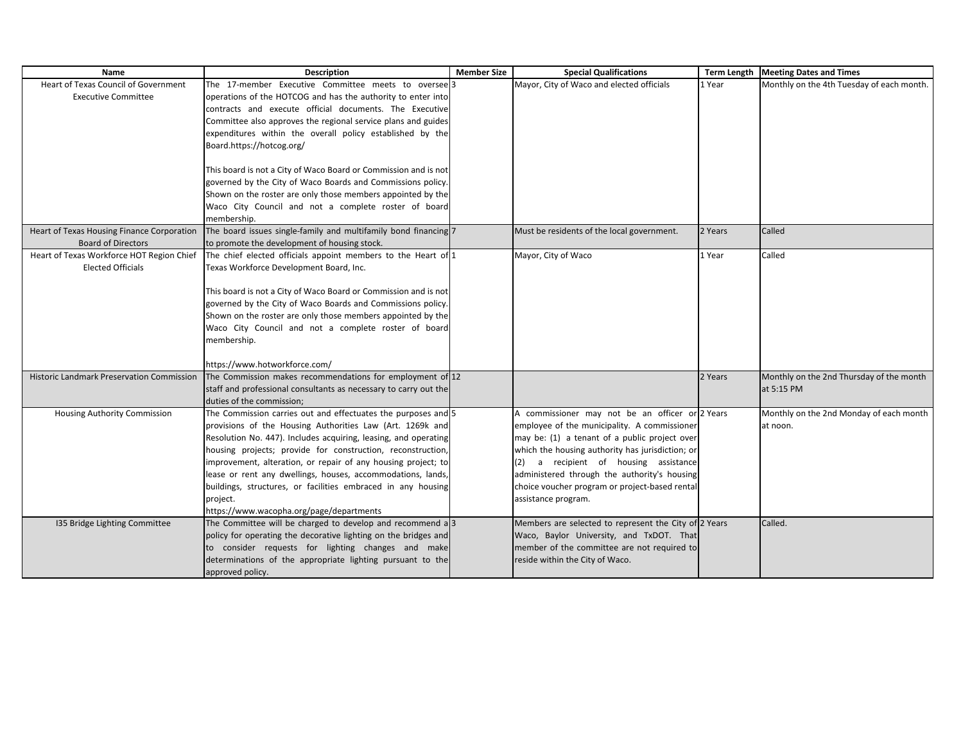| Name                                             | <b>Description</b>                                               | <b>Member Size</b> | <b>Special Qualifications</b>                         |         | Term Length   Meeting Dates and Times     |
|--------------------------------------------------|------------------------------------------------------------------|--------------------|-------------------------------------------------------|---------|-------------------------------------------|
| <b>Heart of Texas Council of Government</b>      | The 17-member Executive Committee meets to oversee 3             |                    | Mayor, City of Waco and elected officials             | 1 Year  | Monthly on the 4th Tuesday of each month. |
| <b>Executive Committee</b>                       | operations of the HOTCOG and has the authority to enter into     |                    |                                                       |         |                                           |
|                                                  | contracts and execute official documents. The Executive          |                    |                                                       |         |                                           |
|                                                  | Committee also approves the regional service plans and guides    |                    |                                                       |         |                                           |
|                                                  | expenditures within the overall policy established by the        |                    |                                                       |         |                                           |
|                                                  | Board.https://hotcog.org/                                        |                    |                                                       |         |                                           |
|                                                  |                                                                  |                    |                                                       |         |                                           |
|                                                  | This board is not a City of Waco Board or Commission and is not  |                    |                                                       |         |                                           |
|                                                  | governed by the City of Waco Boards and Commissions policy.      |                    |                                                       |         |                                           |
|                                                  | Shown on the roster are only those members appointed by the      |                    |                                                       |         |                                           |
|                                                  | Waco City Council and not a complete roster of board             |                    |                                                       |         |                                           |
|                                                  | membership.                                                      |                    |                                                       |         |                                           |
| Heart of Texas Housing Finance Corporation       | The board issues single-family and multifamily bond financing 7  |                    | Must be residents of the local government.            | 2 Years | Called                                    |
| <b>Board of Directors</b>                        | to promote the development of housing stock.                     |                    |                                                       |         |                                           |
| Heart of Texas Workforce HOT Region Chief        | The chief elected officials appoint members to the Heart of 1    |                    | Mayor, City of Waco                                   | 1 Year  | Called                                    |
| <b>Elected Officials</b>                         | Texas Workforce Development Board, Inc.                          |                    |                                                       |         |                                           |
|                                                  |                                                                  |                    |                                                       |         |                                           |
|                                                  | This board is not a City of Waco Board or Commission and is not  |                    |                                                       |         |                                           |
|                                                  | governed by the City of Waco Boards and Commissions policy.      |                    |                                                       |         |                                           |
|                                                  | Shown on the roster are only those members appointed by the      |                    |                                                       |         |                                           |
|                                                  | Waco City Council and not a complete roster of board             |                    |                                                       |         |                                           |
|                                                  | membership.                                                      |                    |                                                       |         |                                           |
|                                                  |                                                                  |                    |                                                       |         |                                           |
|                                                  | https://www.hotworkforce.com/                                    |                    |                                                       |         |                                           |
| <b>Historic Landmark Preservation Commission</b> | The Commission makes recommendations for employment of 12        |                    |                                                       | 2 Years | Monthly on the 2nd Thursday of the month  |
|                                                  | staff and professional consultants as necessary to carry out the |                    |                                                       |         | at 5:15 PM                                |
|                                                  | duties of the commission;                                        |                    |                                                       |         |                                           |
| Housing Authority Commission                     | The Commission carries out and effectuates the purposes and 5    |                    | A commissioner may not be an officer or 2 Years       |         | Monthly on the 2nd Monday of each month   |
|                                                  | provisions of the Housing Authorities Law (Art. 1269k and        |                    | employee of the municipality. A commissioner          |         | at noon.                                  |
|                                                  | Resolution No. 447). Includes acquiring, leasing, and operating  |                    | may be: (1) a tenant of a public project over         |         |                                           |
|                                                  | housing projects; provide for construction, reconstruction,      |                    | which the housing authority has jurisdiction; or      |         |                                           |
|                                                  | improvement, alteration, or repair of any housing project; to    |                    | (2) a recipient of housing assistance                 |         |                                           |
|                                                  | lease or rent any dwellings, houses, accommodations, lands,      |                    | administered through the authority's housing          |         |                                           |
|                                                  | buildings, structures, or facilities embraced in any housing     |                    | choice voucher program or project-based rental        |         |                                           |
|                                                  | project.                                                         |                    | assistance program.                                   |         |                                           |
|                                                  | https://www.wacopha.org/page/departments                         |                    |                                                       |         |                                           |
| 135 Bridge Lighting Committee                    | The Committee will be charged to develop and recommend a 3       |                    | Members are selected to represent the City of 2 Years |         | Called.                                   |
|                                                  | policy for operating the decorative lighting on the bridges and  |                    | Waco, Baylor University, and TxDOT. That              |         |                                           |
|                                                  | to consider requests for lighting changes and make               |                    | member of the committee are not required to           |         |                                           |
|                                                  | determinations of the appropriate lighting pursuant to the       |                    | reside within the City of Waco.                       |         |                                           |
|                                                  | approved policy.                                                 |                    |                                                       |         |                                           |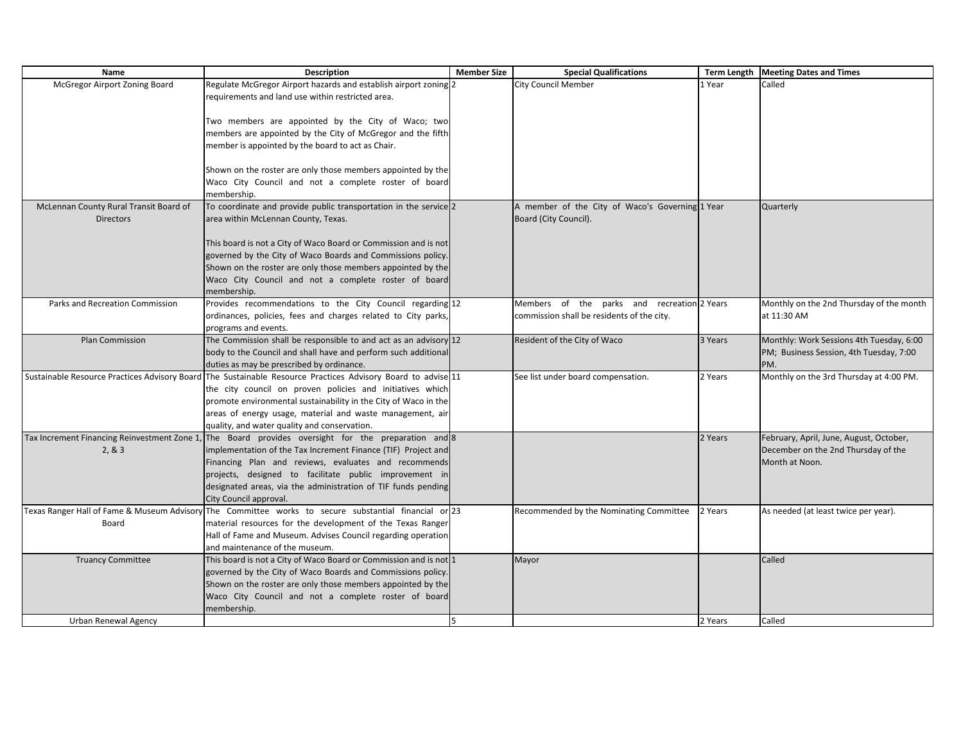| Name                                   | <b>Description</b>                                                                                           | <b>Member Size</b> | <b>Special Qualifications</b>                   |         | Term Length   Meeting Dates and Times    |
|----------------------------------------|--------------------------------------------------------------------------------------------------------------|--------------------|-------------------------------------------------|---------|------------------------------------------|
| McGregor Airport Zoning Board          | Regulate McGregor Airport hazards and establish airport zoning 2                                             |                    | <b>City Council Member</b>                      | 1 Year  | Called                                   |
|                                        | requirements and land use within restricted area.                                                            |                    |                                                 |         |                                          |
|                                        |                                                                                                              |                    |                                                 |         |                                          |
|                                        | Two members are appointed by the City of Waco; two                                                           |                    |                                                 |         |                                          |
|                                        | members are appointed by the City of McGregor and the fifth                                                  |                    |                                                 |         |                                          |
|                                        | member is appointed by the board to act as Chair.                                                            |                    |                                                 |         |                                          |
|                                        |                                                                                                              |                    |                                                 |         |                                          |
|                                        | Shown on the roster are only those members appointed by the                                                  |                    |                                                 |         |                                          |
|                                        | Waco City Council and not a complete roster of board                                                         |                    |                                                 |         |                                          |
|                                        | membership.                                                                                                  |                    |                                                 |         |                                          |
| McLennan County Rural Transit Board of | To coordinate and provide public transportation in the service 2                                             |                    | A member of the City of Waco's Governing 1 Year |         | Quarterly                                |
| <b>Directors</b>                       | area within McLennan County, Texas.                                                                          |                    | Board (City Council).                           |         |                                          |
|                                        |                                                                                                              |                    |                                                 |         |                                          |
|                                        | This board is not a City of Waco Board or Commission and is not                                              |                    |                                                 |         |                                          |
|                                        | governed by the City of Waco Boards and Commissions policy.                                                  |                    |                                                 |         |                                          |
|                                        | Shown on the roster are only those members appointed by the                                                  |                    |                                                 |         |                                          |
|                                        | Waco City Council and not a complete roster of board                                                         |                    |                                                 |         |                                          |
|                                        | membership.                                                                                                  |                    |                                                 |         |                                          |
| Parks and Recreation Commission        | Provides recommendations to the City Council regarding 12                                                    |                    | Members of the parks and recreation 2 Years     |         | Monthly on the 2nd Thursday of the month |
|                                        | ordinances, policies, fees and charges related to City parks,                                                |                    | commission shall be residents of the city.      |         | at 11:30 AM                              |
| <b>Plan Commission</b>                 | programs and events.<br>The Commission shall be responsible to and act as an advisory 12                     |                    | Resident of the City of Waco                    | 3 Years | Monthly: Work Sessions 4th Tuesday, 6:00 |
|                                        | body to the Council and shall have and perform such additional                                               |                    |                                                 |         | PM; Business Session, 4th Tuesday, 7:00  |
|                                        | duties as may be prescribed by ordinance.                                                                    |                    |                                                 |         | PM.                                      |
|                                        | Sustainable Resource Practices Advisory Board The Sustainable Resource Practices Advisory Board to advise 11 |                    | See list under board compensation.              | 2 Years | Monthly on the 3rd Thursday at 4:00 PM.  |
|                                        | the city council on proven policies and initiatives which                                                    |                    |                                                 |         |                                          |
|                                        | promote environmental sustainability in the City of Waco in the                                              |                    |                                                 |         |                                          |
|                                        | areas of energy usage, material and waste management, air                                                    |                    |                                                 |         |                                          |
|                                        | quality, and water quality and conservation.                                                                 |                    |                                                 |         |                                          |
|                                        | Tax Increment Financing Reinvestment Zone 1, The Board provides oversight for the preparation and 8          |                    |                                                 | 2 Years | February, April, June, August, October,  |
| 2, 8, 3                                | implementation of the Tax Increment Finance (TIF) Project and                                                |                    |                                                 |         | December on the 2nd Thursday of the      |
|                                        | Financing Plan and reviews, evaluates and recommends                                                         |                    |                                                 |         | Month at Noon.                           |
|                                        | projects, designed to facilitate public improvement in                                                       |                    |                                                 |         |                                          |
|                                        | designated areas, via the administration of TIF funds pending                                                |                    |                                                 |         |                                          |
|                                        | City Council approval.                                                                                       |                    |                                                 |         |                                          |
|                                        | 123 Texas Ranger Hall of Fame & Museum Advisory The Committee works to secure substantial financial or       |                    | Recommended by the Nominating Committee         | 2 Years | As needed (at least twice per year).     |
| Board                                  | material resources for the development of the Texas Ranger                                                   |                    |                                                 |         |                                          |
|                                        | Hall of Fame and Museum. Advises Council regarding operation                                                 |                    |                                                 |         |                                          |
|                                        | and maintenance of the museum.                                                                               |                    |                                                 |         |                                          |
| <b>Truancy Committee</b>               | This board is not a City of Waco Board or Commission and is not 1                                            |                    | Mayor                                           |         | Called                                   |
|                                        | governed by the City of Waco Boards and Commissions policy.                                                  |                    |                                                 |         |                                          |
|                                        | Shown on the roster are only those members appointed by the                                                  |                    |                                                 |         |                                          |
|                                        | Waco City Council and not a complete roster of board                                                         |                    |                                                 |         |                                          |
|                                        | membership.                                                                                                  |                    |                                                 |         |                                          |
| Urban Renewal Agency                   |                                                                                                              | 5                  |                                                 | 2 Years | Called                                   |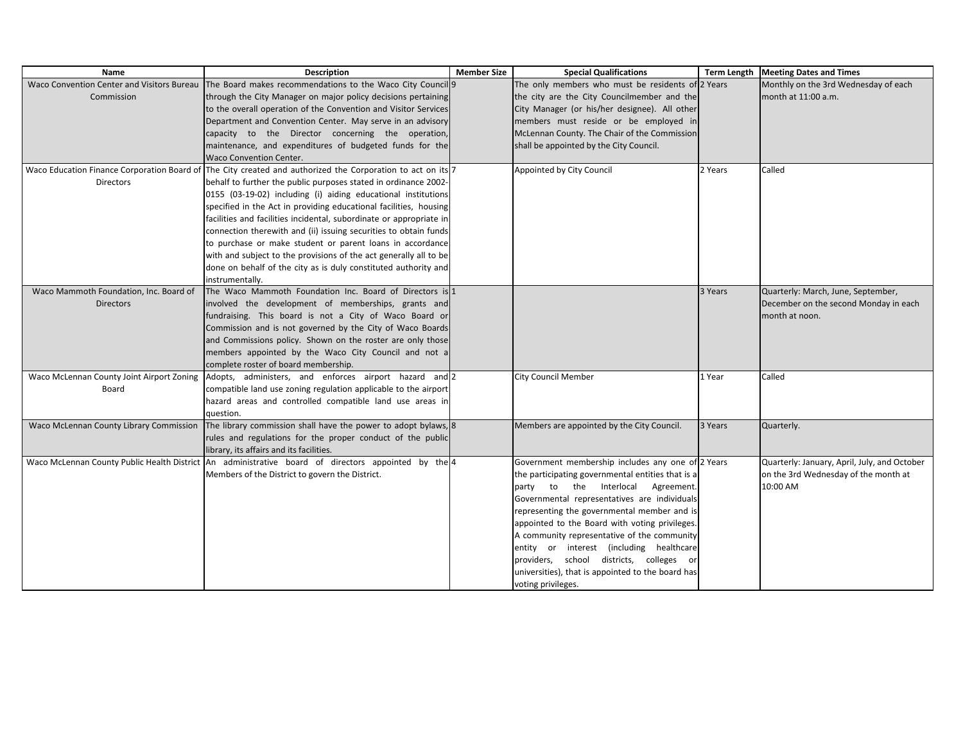| Name                                    | <b>Description</b>                                                                                          | <b>Member Size</b> | <b>Special Qualifications</b>                     |         | Term Length   Meeting Dates and Times        |
|-----------------------------------------|-------------------------------------------------------------------------------------------------------------|--------------------|---------------------------------------------------|---------|----------------------------------------------|
|                                         | Waco Convention Center and Visitors Bureau   The Board makes recommendations to the Waco City Council 9     |                    | The only members who must be residents of 2 Years |         | Monthly on the 3rd Wednesday of each         |
| Commission                              | through the City Manager on major policy decisions pertaining                                               |                    | the city are the City Councilmember and the       |         | month at 11:00 a.m.                          |
|                                         | to the overall operation of the Convention and Visitor Services                                             |                    | City Manager (or his/her designee). All other     |         |                                              |
|                                         | Department and Convention Center. May serve in an advisory                                                  |                    | members must reside or be employed in             |         |                                              |
|                                         | capacity to the Director concerning the operation,                                                          |                    | McLennan County. The Chair of the Commission      |         |                                              |
|                                         | maintenance, and expenditures of budgeted funds for the                                                     |                    | shall be appointed by the City Council.           |         |                                              |
|                                         | Waco Convention Center.                                                                                     |                    |                                                   |         |                                              |
|                                         | Waco Education Finance Corporation Board of The City created and authorized the Corporation to act on its 7 |                    | Appointed by City Council                         | 2 Years | Called                                       |
| <b>Directors</b>                        | behalf to further the public purposes stated in ordinance 2002-                                             |                    |                                                   |         |                                              |
|                                         | 0155 (03-19-02) including (i) aiding educational institutions                                               |                    |                                                   |         |                                              |
|                                         | specified in the Act in providing educational facilities, housing                                           |                    |                                                   |         |                                              |
|                                         | facilities and facilities incidental, subordinate or appropriate in                                         |                    |                                                   |         |                                              |
|                                         | connection therewith and (ii) issuing securities to obtain funds                                            |                    |                                                   |         |                                              |
|                                         | to purchase or make student or parent loans in accordance                                                   |                    |                                                   |         |                                              |
|                                         | with and subject to the provisions of the act generally all to be                                           |                    |                                                   |         |                                              |
|                                         | done on behalf of the city as is duly constituted authority and                                             |                    |                                                   |         |                                              |
|                                         | instrumentally.                                                                                             |                    |                                                   |         |                                              |
| Waco Mammoth Foundation, Inc. Board of  | The Waco Mammoth Foundation Inc. Board of Directors is 1                                                    |                    |                                                   | 3 Years | Quarterly: March, June, September,           |
| <b>Directors</b>                        | involved the development of memberships, grants and                                                         |                    |                                                   |         | December on the second Monday in each        |
|                                         | fundraising. This board is not a City of Waco Board or                                                      |                    |                                                   |         | month at noon.                               |
|                                         | Commission and is not governed by the City of Waco Boards                                                   |                    |                                                   |         |                                              |
|                                         | and Commissions policy. Shown on the roster are only those                                                  |                    |                                                   |         |                                              |
|                                         | members appointed by the Waco City Council and not a                                                        |                    |                                                   |         |                                              |
|                                         | complete roster of board membership.                                                                        |                    |                                                   |         |                                              |
|                                         | Waco McLennan County Joint Airport Zoning Adopts, administers, and enforces airport hazard and 2            |                    | <b>City Council Member</b>                        | 1 Year  | Called                                       |
| Board                                   | compatible land use zoning regulation applicable to the airport                                             |                    |                                                   |         |                                              |
|                                         | hazard areas and controlled compatible land use areas in                                                    |                    |                                                   |         |                                              |
|                                         | question.                                                                                                   |                    |                                                   |         |                                              |
| Waco McLennan County Library Commission | The library commission shall have the power to adopt bylaws, 8                                              |                    | Members are appointed by the City Council.        | 3 Years | Quarterly.                                   |
|                                         | rules and regulations for the proper conduct of the public                                                  |                    |                                                   |         |                                              |
|                                         | library, its affairs and its facilities.                                                                    |                    |                                                   |         |                                              |
|                                         | Waco McLennan County Public Health District An administrative board of directors appointed by the 4         |                    | Government membership includes any one of 2 Years |         | Quarterly: January, April, July, and October |
|                                         | Members of the District to govern the District.                                                             |                    | the participating governmental entities that is a |         | on the 3rd Wednesday of the month at         |
|                                         |                                                                                                             |                    | party to the Interlocal Agreement                 |         | 10:00 AM                                     |
|                                         |                                                                                                             |                    | Governmental representatives are individuals      |         |                                              |
|                                         |                                                                                                             |                    | representing the governmental member and is       |         |                                              |
|                                         |                                                                                                             |                    | appointed to the Board with voting privileges.    |         |                                              |
|                                         |                                                                                                             |                    | A community representative of the community       |         |                                              |
|                                         |                                                                                                             |                    | entity or interest (including healthcare          |         |                                              |
|                                         |                                                                                                             |                    | providers, school districts, colleges or          |         |                                              |
|                                         |                                                                                                             |                    | universities), that is appointed to the board has |         |                                              |
|                                         |                                                                                                             |                    | voting privileges.                                |         |                                              |